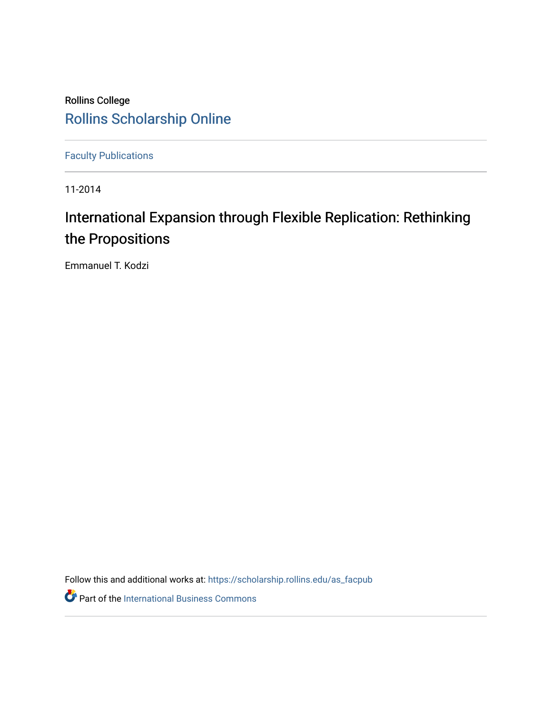# Rollins College [Rollins Scholarship Online](https://scholarship.rollins.edu/)

[Faculty Publications](https://scholarship.rollins.edu/as_facpub)

11-2014

# International Expansion through Flexible Replication: Rethinking the Propositions

Emmanuel T. Kodzi

Follow this and additional works at: [https://scholarship.rollins.edu/as\\_facpub](https://scholarship.rollins.edu/as_facpub?utm_source=scholarship.rollins.edu%2Fas_facpub%2F257&utm_medium=PDF&utm_campaign=PDFCoverPages) 

**Part of the International Business Commons**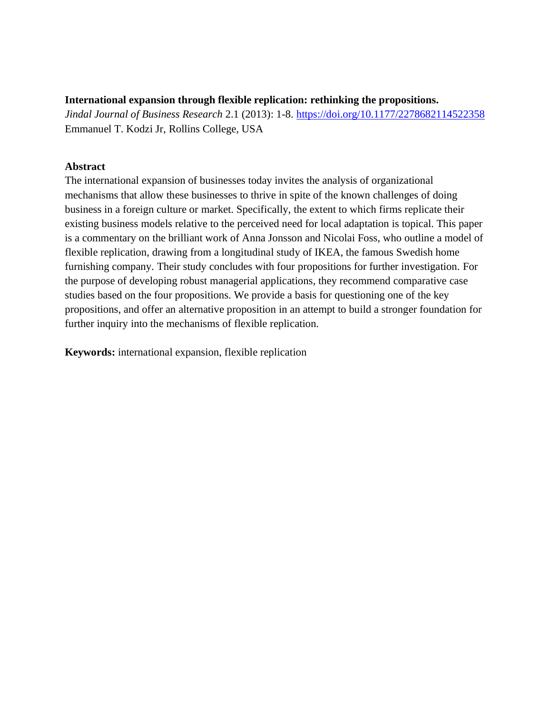## **International expansion through flexible replication: rethinking the propositions.**

*Jindal Journal of Business Research* 2.1 (2013): 1-8.<https://doi.org/10.1177/2278682114522358> Emmanuel T. Kodzi Jr, Rollins College, USA

# **Abstract**

The international expansion of businesses today invites the analysis of organizational mechanisms that allow these businesses to thrive in spite of the known challenges of doing business in a foreign culture or market. Specifically, the extent to which firms replicate their existing business models relative to the perceived need for local adaptation is topical. This paper is a commentary on the brilliant work of Anna Jonsson and Nicolai Foss, who outline a model of flexible replication, drawing from a longitudinal study of IKEA, the famous Swedish home furnishing company. Their study concludes with four propositions for further investigation. For the purpose of developing robust managerial applications, they recommend comparative case studies based on the four propositions. We provide a basis for questioning one of the key propositions, and offer an alternative proposition in an attempt to build a stronger foundation for further inquiry into the mechanisms of flexible replication.

**Keywords:** international expansion, flexible replication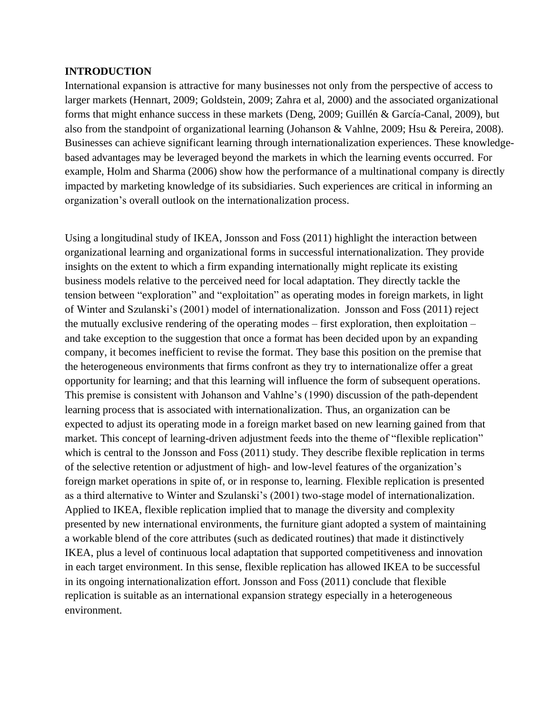#### **INTRODUCTION**

International expansion is attractive for many businesses not only from the perspective of access to larger markets (Hennart, 2009; Goldstein, 2009; Zahra et al, 2000) and the associated organizational forms that might enhance success in these markets (Deng, 2009; Guillén & García-Canal, 2009), but also from the standpoint of organizational learning (Johanson & Vahlne, 2009; Hsu & Pereira, 2008). Businesses can achieve significant learning through internationalization experiences. These knowledgebased advantages may be leveraged beyond the markets in which the learning events occurred. For example, Holm and Sharma (2006) show how the performance of a multinational company is directly impacted by marketing knowledge of its subsidiaries. Such experiences are critical in informing an organization's overall outlook on the internationalization process.

Using a longitudinal study of IKEA, Jonsson and Foss (2011) highlight the interaction between organizational learning and organizational forms in successful internationalization. They provide insights on the extent to which a firm expanding internationally might replicate its existing business models relative to the perceived need for local adaptation. They directly tackle the tension between "exploration" and "exploitation" as operating modes in foreign markets, in light of Winter and Szulanski's (2001) model of internationalization. Jonsson and Foss (2011) reject the mutually exclusive rendering of the operating modes – first exploration, then exploitation – and take exception to the suggestion that once a format has been decided upon by an expanding company, it becomes inefficient to revise the format. They base this position on the premise that the heterogeneous environments that firms confront as they try to internationalize offer a great opportunity for learning; and that this learning will influence the form of subsequent operations. This premise is consistent with Johanson and Vahlne's (1990) discussion of the path-dependent learning process that is associated with internationalization. Thus, an organization can be expected to adjust its operating mode in a foreign market based on new learning gained from that market. This concept of learning-driven adjustment feeds into the theme of "flexible replication" which is central to the Jonsson and Foss (2011) study. They describe flexible replication in terms of the selective retention or adjustment of high- and low-level features of the organization's foreign market operations in spite of, or in response to, learning. Flexible replication is presented as a third alternative to Winter and Szulanski's (2001) two-stage model of internationalization. Applied to IKEA, flexible replication implied that to manage the diversity and complexity presented by new international environments, the furniture giant adopted a system of maintaining a workable blend of the core attributes (such as dedicated routines) that made it distinctively IKEA, plus a level of continuous local adaptation that supported competitiveness and innovation in each target environment. In this sense, flexible replication has allowed IKEA to be successful in its ongoing internationalization effort. Jonsson and Foss (2011) conclude that flexible replication is suitable as an international expansion strategy especially in a heterogeneous environment.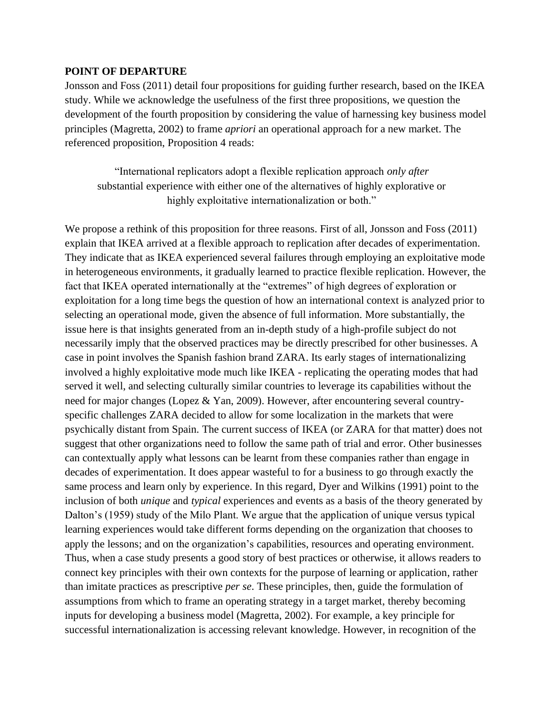#### **POINT OF DEPARTURE**

Jonsson and Foss (2011) detail four propositions for guiding further research, based on the IKEA study. While we acknowledge the usefulness of the first three propositions, we question the development of the fourth proposition by considering the value of harnessing key business model principles (Magretta, 2002) to frame *apriori* an operational approach for a new market. The referenced proposition, Proposition 4 reads:

"International replicators adopt a flexible replication approach *only after* substantial experience with either one of the alternatives of highly explorative or highly exploitative internationalization or both."

We propose a rethink of this proposition for three reasons. First of all, Jonsson and Foss (2011) explain that IKEA arrived at a flexible approach to replication after decades of experimentation. They indicate that as IKEA experienced several failures through employing an exploitative mode in heterogeneous environments, it gradually learned to practice flexible replication. However, the fact that IKEA operated internationally at the "extremes" of high degrees of exploration or exploitation for a long time begs the question of how an international context is analyzed prior to selecting an operational mode, given the absence of full information. More substantially, the issue here is that insights generated from an in-depth study of a high-profile subject do not necessarily imply that the observed practices may be directly prescribed for other businesses. A case in point involves the Spanish fashion brand ZARA. Its early stages of internationalizing involved a highly exploitative mode much like IKEA - replicating the operating modes that had served it well, and selecting culturally similar countries to leverage its capabilities without the need for major changes (Lopez & Yan, 2009). However, after encountering several countryspecific challenges ZARA decided to allow for some localization in the markets that were psychically distant from Spain. The current success of IKEA (or ZARA for that matter) does not suggest that other organizations need to follow the same path of trial and error. Other businesses can contextually apply what lessons can be learnt from these companies rather than engage in decades of experimentation. It does appear wasteful to for a business to go through exactly the same process and learn only by experience. In this regard, Dyer and Wilkins (1991) point to the inclusion of both *unique* and *typical* experiences and events as a basis of the theory generated by Dalton's (1959) study of the Milo Plant. We argue that the application of unique versus typical learning experiences would take different forms depending on the organization that chooses to apply the lessons; and on the organization's capabilities, resources and operating environment. Thus, when a case study presents a good story of best practices or otherwise, it allows readers to connect key principles with their own contexts for the purpose of learning or application, rather than imitate practices as prescriptive *per se*. These principles, then, guide the formulation of assumptions from which to frame an operating strategy in a target market, thereby becoming inputs for developing a business model (Magretta, 2002). For example, a key principle for successful internationalization is accessing relevant knowledge. However, in recognition of the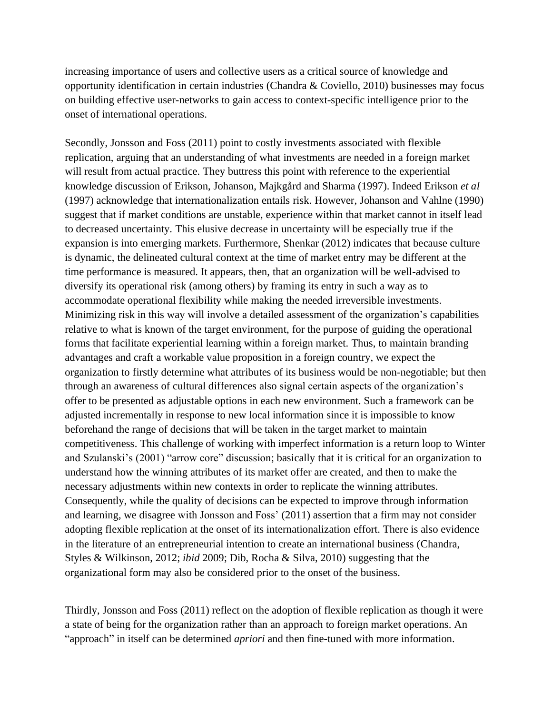increasing importance of users and collective users as a critical source of knowledge and opportunity identification in certain industries (Chandra & Coviello, 2010) businesses may focus on building effective user-networks to gain access to context-specific intelligence prior to the onset of international operations.

Secondly, Jonsson and Foss (2011) point to costly investments associated with flexible replication, arguing that an understanding of what investments are needed in a foreign market will result from actual practice. They buttress this point with reference to the experiential knowledge discussion of Erikson, Johanson, Majkgård and Sharma (1997). Indeed Erikson *et al* (1997) acknowledge that internationalization entails risk. However, Johanson and Vahlne (1990) suggest that if market conditions are unstable, experience within that market cannot in itself lead to decreased uncertainty. This elusive decrease in uncertainty will be especially true if the expansion is into emerging markets. Furthermore, Shenkar (2012) indicates that because culture is dynamic, the delineated cultural context at the time of market entry may be different at the time performance is measured. It appears, then, that an organization will be well-advised to diversify its operational risk (among others) by framing its entry in such a way as to accommodate operational flexibility while making the needed irreversible investments. Minimizing risk in this way will involve a detailed assessment of the organization's capabilities relative to what is known of the target environment, for the purpose of guiding the operational forms that facilitate experiential learning within a foreign market. Thus, to maintain branding advantages and craft a workable value proposition in a foreign country, we expect the organization to firstly determine what attributes of its business would be non-negotiable; but then through an awareness of cultural differences also signal certain aspects of the organization's offer to be presented as adjustable options in each new environment. Such a framework can be adjusted incrementally in response to new local information since it is impossible to know beforehand the range of decisions that will be taken in the target market to maintain competitiveness. This challenge of working with imperfect information is a return loop to Winter and Szulanski's (2001) "arrow core" discussion; basically that it is critical for an organization to understand how the winning attributes of its market offer are created, and then to make the necessary adjustments within new contexts in order to replicate the winning attributes. Consequently, while the quality of decisions can be expected to improve through information and learning, we disagree with Jonsson and Foss' (2011) assertion that a firm may not consider adopting flexible replication at the onset of its internationalization effort. There is also evidence in the literature of an entrepreneurial intention to create an international business (Chandra, Styles & Wilkinson, 2012; *ibid* 2009; Dib, Rocha & Silva, 2010) suggesting that the organizational form may also be considered prior to the onset of the business.

Thirdly, Jonsson and Foss (2011) reflect on the adoption of flexible replication as though it were a state of being for the organization rather than an approach to foreign market operations. An "approach" in itself can be determined *apriori* and then fine-tuned with more information.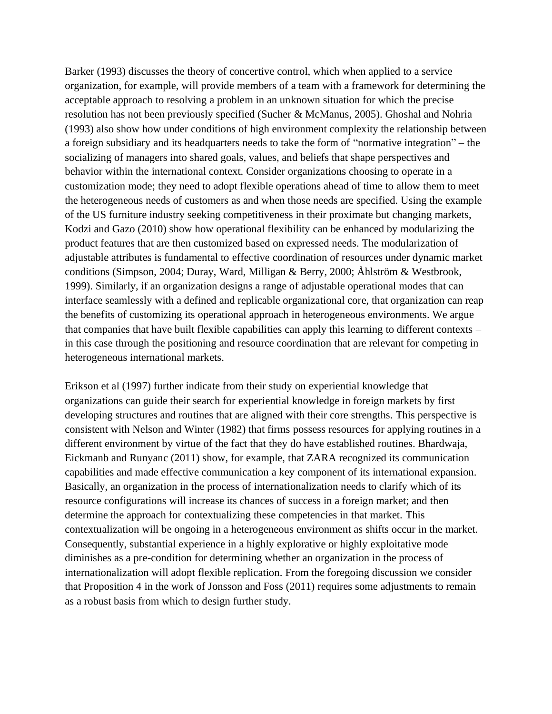Barker (1993) discusses the theory of concertive control, which when applied to a service organization, for example, will provide members of a team with a framework for determining the acceptable approach to resolving a problem in an unknown situation for which the precise resolution has not been previously specified (Sucher & McManus, 2005). Ghoshal and Nohria (1993) also show how under conditions of high environment complexity the relationship between a foreign subsidiary and its headquarters needs to take the form of "normative integration" – the socializing of managers into shared goals, values, and beliefs that shape perspectives and behavior within the international context. Consider organizations choosing to operate in a customization mode; they need to adopt flexible operations ahead of time to allow them to meet the heterogeneous needs of customers as and when those needs are specified. Using the example of the US furniture industry seeking competitiveness in their proximate but changing markets, Kodzi and Gazo (2010) show how operational flexibility can be enhanced by modularizing the product features that are then customized based on expressed needs. The modularization of adjustable attributes is fundamental to effective coordination of resources under dynamic market conditions (Simpson, 2004; Duray, Ward, Milligan & Berry, 2000; Åhlström & Westbrook, 1999). Similarly, if an organization designs a range of adjustable operational modes that can interface seamlessly with a defined and replicable organizational core, that organization can reap the benefits of customizing its operational approach in heterogeneous environments. We argue that companies that have built flexible capabilities can apply this learning to different contexts – in this case through the positioning and resource coordination that are relevant for competing in heterogeneous international markets.

Erikson et al (1997) further indicate from their study on experiential knowledge that organizations can guide their search for experiential knowledge in foreign markets by first developing structures and routines that are aligned with their core strengths. This perspective is consistent with Nelson and Winter (1982) that firms possess resources for applying routines in a different environment by virtue of the fact that they do have established routines. Bhardwaja, Eickmanb and Runyanc (2011) show, for example, that ZARA recognized its communication capabilities and made effective communication a key component of its international expansion. Basically, an organization in the process of internationalization needs to clarify which of its resource configurations will increase its chances of success in a foreign market; and then determine the approach for contextualizing these competencies in that market. This contextualization will be ongoing in a heterogeneous environment as shifts occur in the market. Consequently, substantial experience in a highly explorative or highly exploitative mode diminishes as a pre-condition for determining whether an organization in the process of internationalization will adopt flexible replication. From the foregoing discussion we consider that Proposition 4 in the work of Jonsson and Foss (2011) requires some adjustments to remain as a robust basis from which to design further study.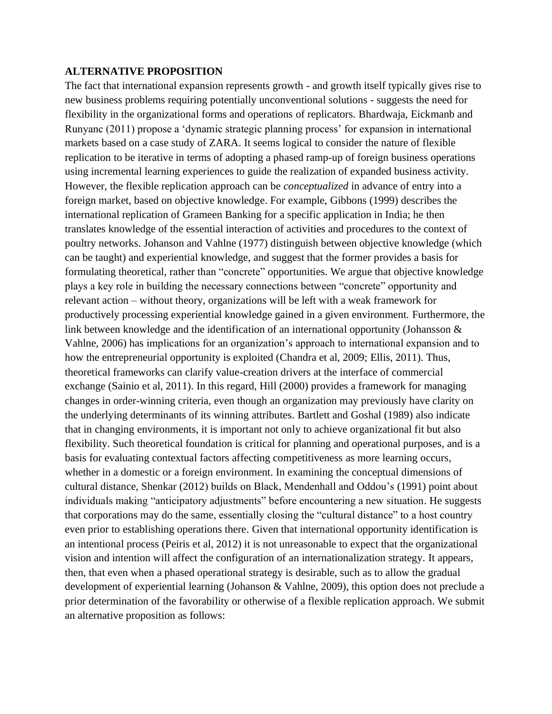#### **ALTERNATIVE PROPOSITION**

The fact that international expansion represents growth - and growth itself typically gives rise to new business problems requiring potentially unconventional solutions - suggests the need for flexibility in the organizational forms and operations of replicators. Bhardwaja, Eickmanb and Runyanc (2011) propose a 'dynamic strategic planning process' for expansion in international markets based on a case study of ZARA. It seems logical to consider the nature of flexible replication to be iterative in terms of adopting a phased ramp-up of foreign business operations using incremental learning experiences to guide the realization of expanded business activity. However, the flexible replication approach can be *conceptualized* in advance of entry into a foreign market, based on objective knowledge. For example, Gibbons (1999) describes the international replication of Grameen Banking for a specific application in India; he then translates knowledge of the essential interaction of activities and procedures to the context of poultry networks. Johanson and Vahlne (1977) distinguish between objective knowledge (which can be taught) and experiential knowledge, and suggest that the former provides a basis for formulating theoretical, rather than "concrete" opportunities. We argue that objective knowledge plays a key role in building the necessary connections between "concrete" opportunity and relevant action – without theory, organizations will be left with a weak framework for productively processing experiential knowledge gained in a given environment. Furthermore, the link between knowledge and the identification of an international opportunity (Johansson & Vahlne, 2006) has implications for an organization's approach to international expansion and to how the entrepreneurial opportunity is exploited (Chandra et al, 2009; Ellis, 2011). Thus, theoretical frameworks can clarify value-creation drivers at the interface of commercial exchange (Sainio et al, 2011). In this regard, Hill (2000) provides a framework for managing changes in order-winning criteria, even though an organization may previously have clarity on the underlying determinants of its winning attributes. Bartlett and Goshal (1989) also indicate that in changing environments, it is important not only to achieve organizational fit but also flexibility. Such theoretical foundation is critical for planning and operational purposes, and is a basis for evaluating contextual factors affecting competitiveness as more learning occurs, whether in a domestic or a foreign environment. In examining the conceptual dimensions of cultural distance, Shenkar (2012) builds on Black, Mendenhall and Oddou's (1991) point about individuals making "anticipatory adjustments" before encountering a new situation. He suggests that corporations may do the same, essentially closing the "cultural distance" to a host country even prior to establishing operations there. Given that international opportunity identification is an intentional process (Peiris et al, 2012) it is not unreasonable to expect that the organizational vision and intention will affect the configuration of an internationalization strategy. It appears, then, that even when a phased operational strategy is desirable, such as to allow the gradual development of experiential learning (Johanson & Vahlne, 2009), this option does not preclude a prior determination of the favorability or otherwise of a flexible replication approach. We submit an alternative proposition as follows: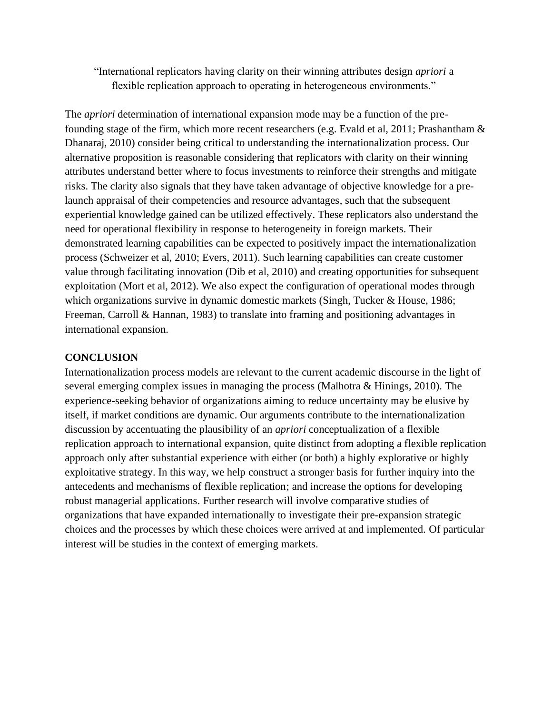# "International replicators having clarity on their winning attributes design *apriori* a flexible replication approach to operating in heterogeneous environments."

The *apriori* determination of international expansion mode may be a function of the prefounding stage of the firm, which more recent researchers (e.g. Evald et al, 2011; Prashantham & Dhanaraj, 2010) consider being critical to understanding the internationalization process. Our alternative proposition is reasonable considering that replicators with clarity on their winning attributes understand better where to focus investments to reinforce their strengths and mitigate risks. The clarity also signals that they have taken advantage of objective knowledge for a prelaunch appraisal of their competencies and resource advantages, such that the subsequent experiential knowledge gained can be utilized effectively. These replicators also understand the need for operational flexibility in response to heterogeneity in foreign markets. Their demonstrated learning capabilities can be expected to positively impact the internationalization process (Schweizer et al, 2010; Evers, 2011). Such learning capabilities can create customer value through facilitating innovation (Dib et al, 2010) and creating opportunities for subsequent exploitation (Mort et al, 2012). We also expect the configuration of operational modes through which organizations survive in dynamic domestic markets (Singh, Tucker & House, 1986; Freeman, Carroll & Hannan, 1983) to translate into framing and positioning advantages in international expansion.

# **CONCLUSION**

Internationalization process models are relevant to the current academic discourse in the light of several emerging complex issues in managing the process (Malhotra & Hinings, 2010). The experience-seeking behavior of organizations aiming to reduce uncertainty may be elusive by itself, if market conditions are dynamic. Our arguments contribute to the internationalization discussion by accentuating the plausibility of an *apriori* conceptualization of a flexible replication approach to international expansion, quite distinct from adopting a flexible replication approach only after substantial experience with either (or both) a highly explorative or highly exploitative strategy. In this way, we help construct a stronger basis for further inquiry into the antecedents and mechanisms of flexible replication; and increase the options for developing robust managerial applications. Further research will involve comparative studies of organizations that have expanded internationally to investigate their pre-expansion strategic choices and the processes by which these choices were arrived at and implemented. Of particular interest will be studies in the context of emerging markets.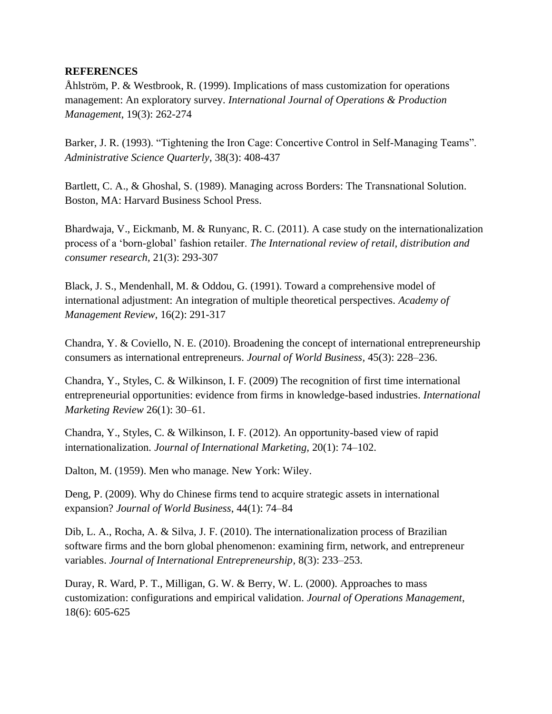## **REFERENCES**

Åhlström, P. & Westbrook, R. (1999). Implications of mass customization for operations management: An exploratory survey. *International Journal of Operations & Production Management*, 19(3): 262-274

Barker, J. R. (1993). "Tightening the Iron Cage: Concertive Control in Self-Managing Teams". *Administrative Science Quarterly*, 38(3): 408-437

Bartlett, C. A., & Ghoshal, S. (1989). Managing across Borders: The Transnational Solution. Boston, MA: Harvard Business School Press.

Bhardwaja, V., Eickmanb, M. & Runyanc, R. C. (2011). A case study on the internationalization process of a 'born-global' fashion retailer. *The International review of retail, distribution and consumer research,* 21(3): 293-307

Black, J. S., Mendenhall, M. & Oddou, G. (1991). Toward a comprehensive model of international adjustment: An integration of multiple theoretical perspectives. *Academy of Management Review*, 16(2): 291-317

Chandra, Y. & Coviello, N. E. (2010). Broadening the concept of international entrepreneurship consumers as international entrepreneurs. *Journal of World Business,* 45(3): 228–236.

Chandra, Y., Styles, C. & Wilkinson, I. F. (2009) The recognition of first time international entrepreneurial opportunities: evidence from firms in knowledge-based industries. *International Marketing Review* 26(1): 30–61.

Chandra, Y., Styles, C. & Wilkinson, I. F. (2012). An opportunity-based view of rapid internationalization. *Journal of International Marketing,* 20(1): 74–102.

Dalton, M. (1959). Men who manage. New York: Wiley.

Deng, P. (2009). Why do Chinese firms tend to acquire strategic assets in international expansion? *Journal of World Business*, 44(1): 74–84

Dib, L. A., Rocha, A. & Silva, J. F. (2010). The internationalization process of Brazilian software firms and the born global phenomenon: examining firm, network, and entrepreneur variables. *Journal of International Entrepreneurship,* 8(3): 233–253.

Duray, R. Ward, P. T., Milligan, G. W. & Berry, W. L. (2000). Approaches to mass customization: configurations and empirical validation. *Journal of Operations Management*, 18(6): 605-625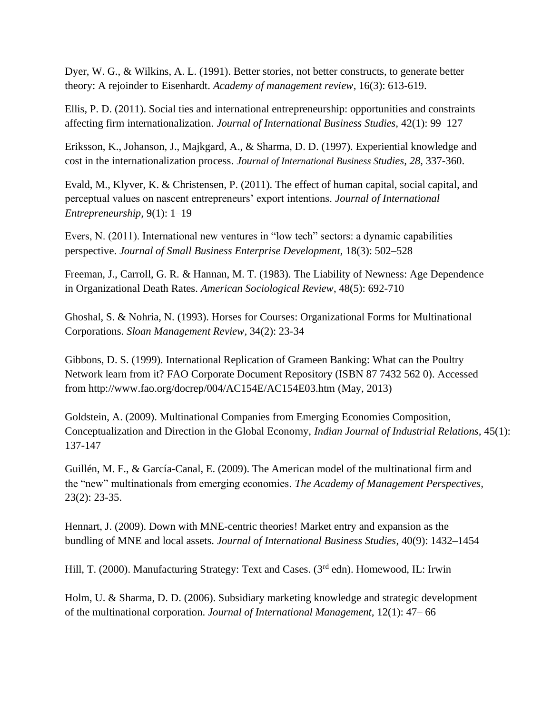Dyer, W. G., & Wilkins, A. L. (1991). Better stories, not better constructs, to generate better theory: A rejoinder to Eisenhardt. *Academy of management review*, 16(3): 613-619.

Ellis, P. D. (2011). Social ties and international entrepreneurship: opportunities and constraints affecting firm internationalization. *Journal of International Business Studies,* 42(1): 99–127

Eriksson, K., Johanson, J., Majkgard, A., & Sharma, D. D. (1997). Experiential knowledge and cost in the internationalization process. *Journal of International Business Studies, 28,* 337-360.

Evald, M., Klyver, K. & Christensen, P. (2011). The effect of human capital, social capital, and perceptual values on nascent entrepreneurs' export intentions. *Journal of International Entrepreneurship,* 9(1): 1–19

Evers, N. (2011). International new ventures in "low tech" sectors: a dynamic capabilities perspective. *Journal of Small Business Enterprise Development,* 18(3): 502–528

Freeman, J., Carroll, G. R. & Hannan, M. T. (1983). The Liability of Newness: Age Dependence in Organizational Death Rates. *American Sociological Review*, 48(5): 692-710

Ghoshal, S. & Nohria, N. (1993). Horses for Courses: Organizational Forms for Multinational Corporations. *Sloan Management Review,* 34(2): 23-34

Gibbons, D. S. (1999). International Replication of Grameen Banking: What can the Poultry Network learn from it? FAO Corporate Document Repository (ISBN 87 7432 562 0). Accessed from http://www.fao.org/docrep/004/AC154E/AC154E03.htm (May, 2013)

Goldstein, A. (2009). Multinational Companies from Emerging Economies Composition, Conceptualization and Direction in the Global Economy, *Indian Journal of Industrial Relations,* 45(1): 137-147

Guillén, M. F., & García-Canal, E. (2009). The American model of the multinational firm and the "new" multinationals from emerging economies. *The Academy of Management Perspectives,* 23(2): 23-35.

Hennart, J. (2009). Down with MNE-centric theories! Market entry and expansion as the bundling of MNE and local assets. *Journal of International Business Studies*, 40(9): 1432–1454

Hill, T. (2000). Manufacturing Strategy: Text and Cases. (3<sup>rd</sup> edn). Homewood, IL: Irwin

Holm, U. & Sharma, D. D. (2006). Subsidiary marketing knowledge and strategic development of the multinational corporation. *Journal of International Management,* 12(1): 47– 66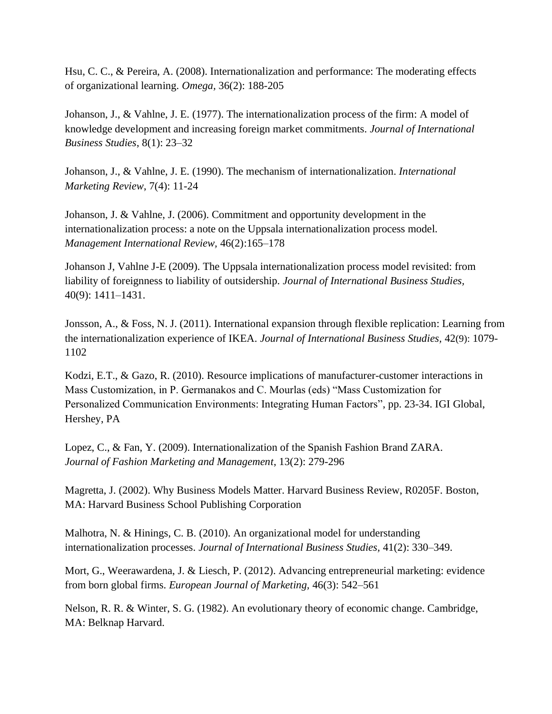Hsu, C. C., & Pereira, A. (2008). Internationalization and performance: The moderating effects of organizational learning. *Omega,* 36(2): 188-205

Johanson, J., & Vahlne, J. E. (1977). The internationalization process of the firm: A model of knowledge development and increasing foreign market commitments. *Journal of International Business Studies*, 8(1): 23–32

Johanson, J., & Vahlne, J. E. (1990). The mechanism of internationalization. *International Marketing Review*, 7(4): 11-24

Johanson, J. & Vahlne, J. (2006). Commitment and opportunity development in the internationalization process: a note on the Uppsala internationalization process model. *Management International Review,* 46(2):165–178

Johanson J, Vahlne J-E (2009). The Uppsala internationalization process model revisited: from liability of foreignness to liability of outsidership. *Journal of International Business Studies,* 40(9): 1411–1431.

Jonsson, A., & Foss, N. J. (2011). International expansion through flexible replication: Learning from the internationalization experience of IKEA. *Journal of International Business Studies,* 42(9): 1079- 1102

Kodzi, E.T., & Gazo, R. (2010). Resource implications of manufacturer-customer interactions in Mass Customization, in P. Germanakos and C. Mourlas (eds) "Mass Customization for Personalized Communication Environments: Integrating Human Factors", pp. 23-34. IGI Global, Hershey, PA

Lopez, C., & Fan, Y. (2009). Internationalization of the Spanish Fashion Brand ZARA. *Journal of Fashion Marketing and Management*, 13(2): 279-296

Magretta, J. (2002). Why Business Models Matter. Harvard Business Review, R0205F. Boston, MA: Harvard Business School Publishing Corporation

Malhotra, N. & Hinings, C. B. (2010). An organizational model for understanding internationalization processes. *Journal of International Business Studies,* 41(2): 330–349.

Mort, G., Weerawardena, J. & Liesch, P. (2012). Advancing entrepreneurial marketing: evidence from born global firms. *European Journal of Marketing,* 46(3): 542–561

Nelson, R. R. & Winter, S. G. (1982). An evolutionary theory of economic change. Cambridge, MA: Belknap Harvard.